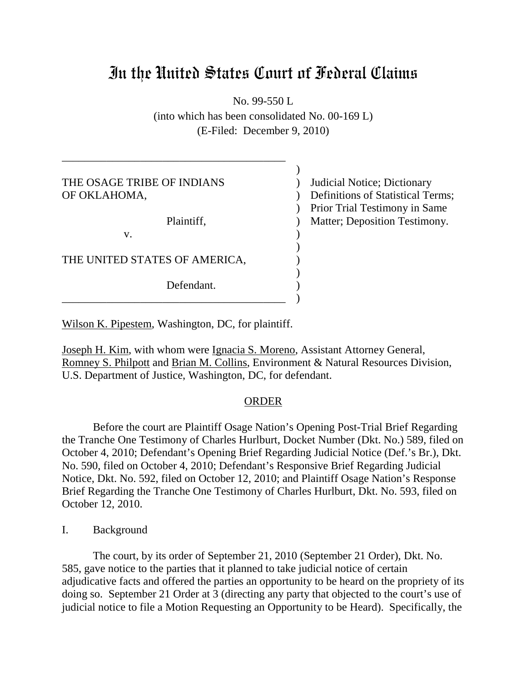# In the United States Court of Federal Claims

No. 99-550 L

(into which has been consolidated No. 00-169 L) (E-Filed: December 9, 2010)

Judicial Notice; Dictionary Definitions of Statistical Terms; Prior Trial Testimony in Same Matter; Deposition Testimony. ) THE OSAGE TRIBE OF INDIANS OF OKLAHOMA,  $\mathcal{L}$ Plaintiff, )  $\mathbf{v}$ . ) THE UNITED STATES OF AMERICA, ) Defendant. \_\_\_\_\_\_\_\_\_\_\_\_\_\_\_\_\_\_\_\_\_\_\_\_\_\_\_\_\_\_\_\_\_\_\_\_\_\_\_\_ )

Wilson K. Pipestem, Washington, DC, for plaintiff.

\_\_\_\_\_\_\_\_\_\_\_\_\_\_\_\_\_\_\_\_\_\_\_\_\_\_\_\_\_\_\_\_\_\_\_\_\_\_\_\_

Joseph H. Kim, with whom were Ignacia S. Moreno, Assistant Attorney General, Romney S. Philpott and Brian M. Collins, Environment & Natural Resources Division, U.S. Department of Justice, Washington, DC, for defendant.

#### **ORDER**

Before the court are Plaintiff Osage Nation's Opening Post-Trial Brief Regarding the Tranche One Testimony of Charles Hurlburt, Docket Number (Dkt. No.) 589, filed on October 4, 2010; Defendant's Opening Brief Regarding Judicial Notice (Def.'s Br.), Dkt. No. 590, filed on October 4, 2010; Defendant's Responsive Brief Regarding Judicial Notice, Dkt. No. 592, filed on October 12, 2010; and Plaintiff Osage Nation's Response Brief Regarding the Tranche One Testimony of Charles Hurlburt, Dkt. No. 593, filed on October 12, 2010.

I. Background

The court, by its order of September 21, 2010 (September 21 Order), Dkt. No. 585, gave notice to the parties that it planned to take judicial notice of certain adjudicative facts and offered the parties an opportunity to be heard on the propriety of its doing so. September 21 Order at 3 (directing any party that objected to the court's use of judicial notice to file a Motion Requesting an Opportunity to be Heard). Specifically, the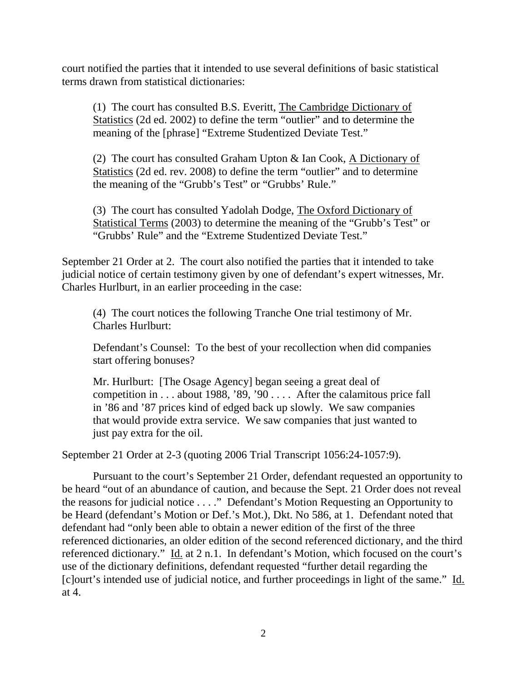court notified the parties that it intended to use several definitions of basic statistical terms drawn from statistical dictionaries:

(1) The court has consulted B.S. Everitt, The Cambridge Dictionary of Statistics (2d ed. 2002) to define the term "outlier" and to determine the meaning of the [phrase] "Extreme Studentized Deviate Test."

(2) The court has consulted Graham Upton & Ian Cook, A Dictionary of Statistics (2d ed. rev. 2008) to define the term "outlier" and to determine the meaning of the "Grubb's Test" or "Grubbs' Rule."

(3) The court has consulted Yadolah Dodge, The Oxford Dictionary of Statistical Terms (2003) to determine the meaning of the "Grubb's Test" or "Grubbs' Rule" and the "Extreme Studentized Deviate Test."

September 21 Order at 2. The court also notified the parties that it intended to take judicial notice of certain testimony given by one of defendant's expert witnesses, Mr. Charles Hurlburt, in an earlier proceeding in the case:

(4) The court notices the following Tranche One trial testimony of Mr. Charles Hurlburt:

Defendant's Counsel: To the best of your recollection when did companies start offering bonuses?

Mr. Hurlburt: [The Osage Agency] began seeing a great deal of competition in . . . about 1988, '89, '90 . . . . After the calamitous price fall in '86 and '87 prices kind of edged back up slowly. We saw companies that would provide extra service. We saw companies that just wanted to just pay extra for the oil.

September 21 Order at 2-3 (quoting 2006 Trial Transcript 1056:24-1057:9).

Pursuant to the court's September 21 Order, defendant requested an opportunity to be heard "out of an abundance of caution, and because the Sept. 21 Order does not reveal the reasons for judicial notice . . . ." Defendant's Motion Requesting an Opportunity to be Heard (defendant's Motion or Def.'s Mot.), Dkt. No 586, at 1. Defendant noted that defendant had "only been able to obtain a newer edition of the first of the three referenced dictionaries, an older edition of the second referenced dictionary, and the third referenced dictionary." Id. at 2 n.1. In defendant's Motion, which focused on the court's use of the dictionary definitions, defendant requested "further detail regarding the [c]ourt's intended use of judicial notice, and further proceedings in light of the same." Id. at 4.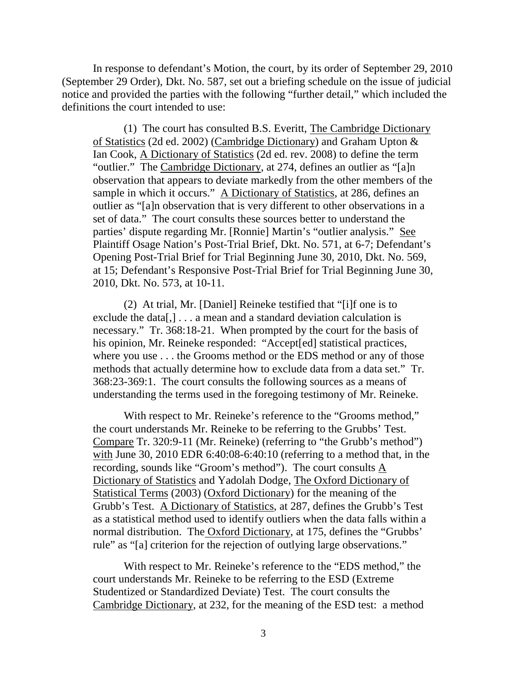In response to defendant's Motion, the court, by its order of September 29, 2010 (September 29 Order), Dkt. No. 587, set out a briefing schedule on the issue of judicial notice and provided the parties with the following "further detail," which included the definitions the court intended to use:

(1) The court has consulted B.S. Everitt, The Cambridge Dictionary of Statistics (2d ed. 2002) (Cambridge Dictionary) and Graham Upton & Ian Cook, A Dictionary of Statistics (2d ed. rev. 2008) to define the term "outlier." The Cambridge Dictionary, at 274, defines an outlier as "[a]n observation that appears to deviate markedly from the other members of the sample in which it occurs." A Dictionary of Statistics, at 286, defines an outlier as "[a]n observation that is very different to other observations in a set of data." The court consults these sources better to understand the parties' dispute regarding Mr. [Ronnie] Martin's "outlier analysis." See Plaintiff Osage Nation's Post-Trial Brief, Dkt. No. 571, at 6-7; Defendant's Opening Post-Trial Brief for Trial Beginning June 30, 2010, Dkt. No. 569, at 15; Defendant's Responsive Post-Trial Brief for Trial Beginning June 30, 2010, Dkt. No. 573, at 10-11.

(2) At trial, Mr. [Daniel] Reineke testified that "[i]f one is to exclude the data[,]  $\ldots$  a mean and a standard deviation calculation is necessary." Tr. 368:18-21. When prompted by the court for the basis of his opinion, Mr. Reineke responded: "Accept[ed] statistical practices, where you use . . . the Grooms method or the EDS method or any of those methods that actually determine how to exclude data from a data set." Tr. 368:23-369:1. The court consults the following sources as a means of understanding the terms used in the foregoing testimony of Mr. Reineke.

With respect to Mr. Reineke's reference to the "Grooms method," the court understands Mr. Reineke to be referring to the Grubbs' Test. Compare Tr. 320:9-11 (Mr. Reineke) (referring to "the Grubb's method") with June 30, 2010 EDR 6:40:08-6:40:10 (referring to a method that, in the recording, sounds like "Groom's method"). The court consults  $\underline{A}$ Dictionary of Statistics and Yadolah Dodge, The Oxford Dictionary of Statistical Terms (2003) (Oxford Dictionary) for the meaning of the Grubb's Test. A Dictionary of Statistics, at 287, defines the Grubb's Test as a statistical method used to identify outliers when the data falls within a normal distribution. The Oxford Dictionary, at 175, defines the "Grubbs' rule" as "[a] criterion for the rejection of outlying large observations."

With respect to Mr. Reineke's reference to the "EDS method," the court understands Mr. Reineke to be referring to the ESD (Extreme Studentized or Standardized Deviate) Test. The court consults the Cambridge Dictionary, at 232, for the meaning of the ESD test: a method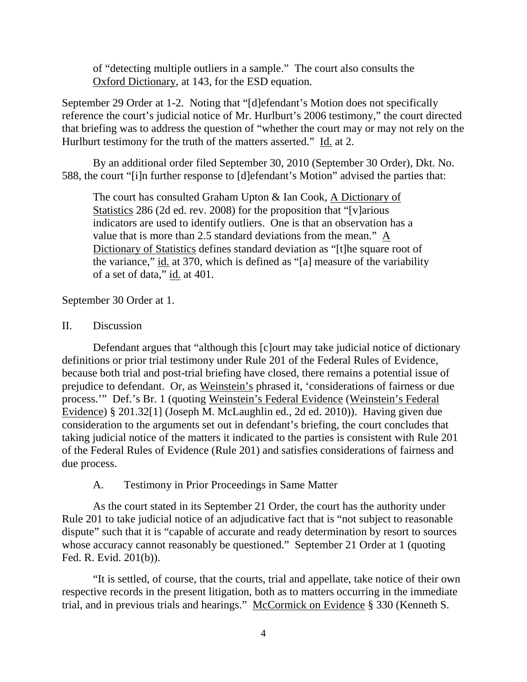of "detecting multiple outliers in a sample." The court also consults the Oxford Dictionary, at 143, for the ESD equation.

September 29 Order at 1-2. Noting that "[d]efendant's Motion does not specifically reference the court's judicial notice of Mr. Hurlburt's 2006 testimony," the court directed that briefing was to address the question of "whether the court may or may not rely on the Hurlburt testimony for the truth of the matters asserted." Id. at 2.

By an additional order filed September 30, 2010 (September 30 Order), Dkt. No. 588, the court "[i]n further response to [d]efendant's Motion" advised the parties that:

The court has consulted Graham Upton & Ian Cook, A Dictionary of Statistics 286 (2d ed. rev. 2008) for the proposition that "[v]arious indicators are used to identify outliers. One is that an observation has a value that is more than 2.5 standard deviations from the mean." A Dictionary of Statistics defines standard deviation as "[t]he square root of the variance," id. at 370, which is defined as "[a] measure of the variability of a set of data," id. at 401.

September 30 Order at 1.

# II. Discussion

Defendant argues that "although this [c]ourt may take judicial notice of dictionary definitions or prior trial testimony under Rule 201 of the Federal Rules of Evidence, because both trial and post-trial briefing have closed, there remains a potential issue of prejudice to defendant. Or, as Weinstein's phrased it, 'considerations of fairness or due process.'" Def.'s Br. 1 (quoting Weinstein's Federal Evidence (Weinstein's Federal Evidence) § 201.32[1] (Joseph M. McLaughlin ed., 2d ed. 2010)). Having given due consideration to the arguments set out in defendant's briefing, the court concludes that taking judicial notice of the matters it indicated to the parties is consistent with Rule 201 of the Federal Rules of Evidence (Rule 201) and satisfies considerations of fairness and due process.

A. Testimony in Prior Proceedings in Same Matter

As the court stated in its September 21 Order, the court has the authority under Rule 201 to take judicial notice of an adjudicative fact that is "not subject to reasonable dispute" such that it is "capable of accurate and ready determination by resort to sources whose accuracy cannot reasonably be questioned." September 21 Order at 1 (quoting Fed. R. Evid. 201(b)).

"It is settled, of course, that the courts, trial and appellate, take notice of their own respective records in the present litigation, both as to matters occurring in the immediate trial, and in previous trials and hearings." McCormick on Evidence § 330 (Kenneth S.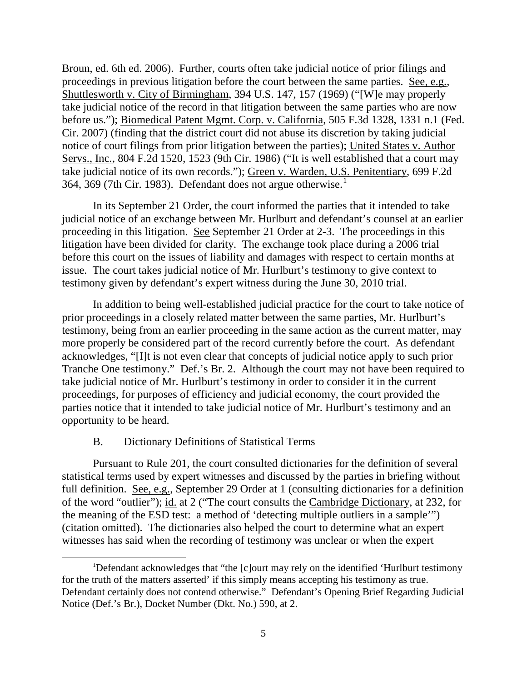Broun, ed. 6th ed. 2006). Further, courts often take judicial notice of prior filings and proceedings in previous litigation before the court between the same parties. See, e.g., Shuttlesworth v. City of Birmingham, 394 U.S. 147, 157 (1969) ("[W]e may properly take judicial notice of the record in that litigation between the same parties who are now before us."); Biomedical Patent Mgmt. Corp. v. California, 505 F.3d 1328, 1331 n.1 (Fed. Cir. 2007) (finding that the district court did not abuse its discretion by taking judicial notice of court filings from prior litigation between the parties); United States v. Author Servs., Inc., 804 F.2d 1520, 1523 (9th Cir. 1986) ("It is well established that a court may take judicial notice of its own records."); Green v. Warden, U.S. Penitentiary, 699 F.2d 364, 369 (7th Cir. [1](#page-4-0)983). Defendant does not argue otherwise. $<sup>1</sup>$ </sup>

In its September 21 Order, the court informed the parties that it intended to take judicial notice of an exchange between Mr. Hurlburt and defendant's counsel at an earlier proceeding in this litigation. See September 21 Order at 2-3. The proceedings in this litigation have been divided for clarity. The exchange took place during a 2006 trial before this court on the issues of liability and damages with respect to certain months at issue. The court takes judicial notice of Mr. Hurlburt's testimony to give context to testimony given by defendant's expert witness during the June 30, 2010 trial.

In addition to being well-established judicial practice for the court to take notice of prior proceedings in a closely related matter between the same parties, Mr. Hurlburt's testimony, being from an earlier proceeding in the same action as the current matter, may more properly be considered part of the record currently before the court. As defendant acknowledges, "[I]t is not even clear that concepts of judicial notice apply to such prior Tranche One testimony." Def.'s Br. 2. Although the court may not have been required to take judicial notice of Mr. Hurlburt's testimony in order to consider it in the current proceedings, for purposes of efficiency and judicial economy, the court provided the parties notice that it intended to take judicial notice of Mr. Hurlburt's testimony and an opportunity to be heard.

## B. Dictionary Definitions of Statistical Terms

Pursuant to Rule 201, the court consulted dictionaries for the definition of several statistical terms used by expert witnesses and discussed by the parties in briefing without full definition. See, e.g., September 29 Order at 1 (consulting dictionaries for a definition of the word "outlier"); id. at 2 ("The court consults the Cambridge Dictionary, at 232, for the meaning of the ESD test: a method of 'detecting multiple outliers in a sample'") (citation omitted). The dictionaries also helped the court to determine what an expert witnesses has said when the recording of testimony was unclear or when the expert

<span id="page-4-0"></span><sup>&</sup>lt;u>1</u> <sup>1</sup>Defendant acknowledges that "the [c]ourt may rely on the identified 'Hurlburt testimony for the truth of the matters asserted' if this simply means accepting his testimony as true. Defendant certainly does not contend otherwise." Defendant's Opening Brief Regarding Judicial Notice (Def.'s Br.), Docket Number (Dkt. No.) 590, at 2.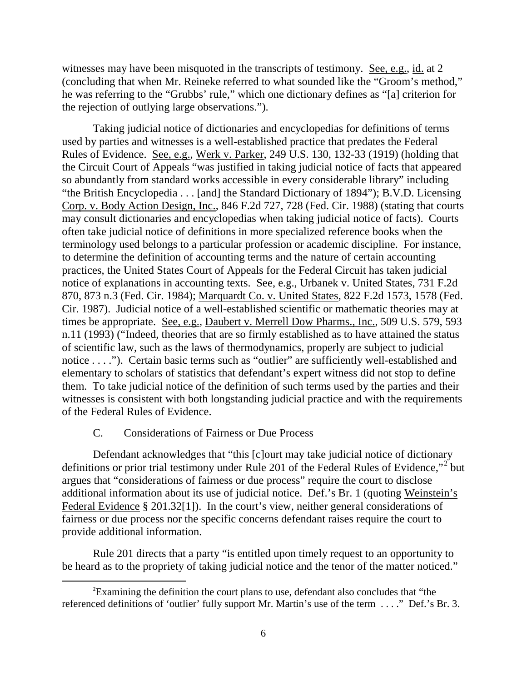witnesses may have been misquoted in the transcripts of testimony. See, e.g., id. at 2 (concluding that when Mr. Reineke referred to what sounded like the "Groom's method," he was referring to the "Grubbs' rule," which one dictionary defines as "[a] criterion for the rejection of outlying large observations.").

Taking judicial notice of dictionaries and encyclopedias for definitions of terms used by parties and witnesses is a well-established practice that predates the Federal Rules of Evidence. See, e.g., Werk v. Parker, 249 U.S. 130, 132-33 (1919) (holding that the Circuit Court of Appeals "was justified in taking judicial notice of facts that appeared so abundantly from standard works accessible in every considerable library" including "the British Encyclopedia . . . [and] the Standard Dictionary of 1894"); B.V.D. Licensing Corp. v. Body Action Design, Inc., 846 F.2d 727, 728 (Fed. Cir. 1988) (stating that courts may consult dictionaries and encyclopedias when taking judicial notice of facts). Courts often take judicial notice of definitions in more specialized reference books when the terminology used belongs to a particular profession or academic discipline. For instance, to determine the definition of accounting terms and the nature of certain accounting practices, the United States Court of Appeals for the Federal Circuit has taken judicial notice of explanations in accounting texts. See, e.g., Urbanek v. United States, 731 F.2d 870, 873 n.3 (Fed. Cir. 1984); Marquardt Co. v. United States, 822 F.2d 1573, 1578 (Fed. Cir. 1987). Judicial notice of a well-established scientific or mathematic theories may at times be appropriate. See, e.g., Daubert v. Merrell Dow Pharms., Inc., 509 U.S. 579, 593 n.11 (1993) ("Indeed, theories that are so firmly established as to have attained the status of scientific law, such as the laws of thermodynamics, properly are subject to judicial notice . . . ."). Certain basic terms such as "outlier" are sufficiently well-established and elementary to scholars of statistics that defendant's expert witness did not stop to define them. To take judicial notice of the definition of such terms used by the parties and their witnesses is consistent with both longstanding judicial practice and with the requirements of the Federal Rules of Evidence.

#### C. Considerations of Fairness or Due Process

Defendant acknowledges that "this [c]ourt may take judicial notice of dictionary definitions or prior trial testimony under Rule [2](#page-5-0)01 of the Federal Rules of Evidence,"<sup>2</sup> but argues that "considerations of fairness or due process" require the court to disclose additional information about its use of judicial notice. Def.'s Br. 1 (quoting Weinstein's Federal Evidence § 201.32[1]). In the court's view, neither general considerations of fairness or due process nor the specific concerns defendant raises require the court to provide additional information.

Rule 201 directs that a party "is entitled upon timely request to an opportunity to be heard as to the propriety of taking judicial notice and the tenor of the matter noticed."

<span id="page-5-0"></span> $\overline{\phantom{a}}$ Examining the definition the court plans to use, defendant also concludes that "the referenced definitions of 'outlier' fully support Mr. Martin's use of the term . . . ." Def.'s Br. 3.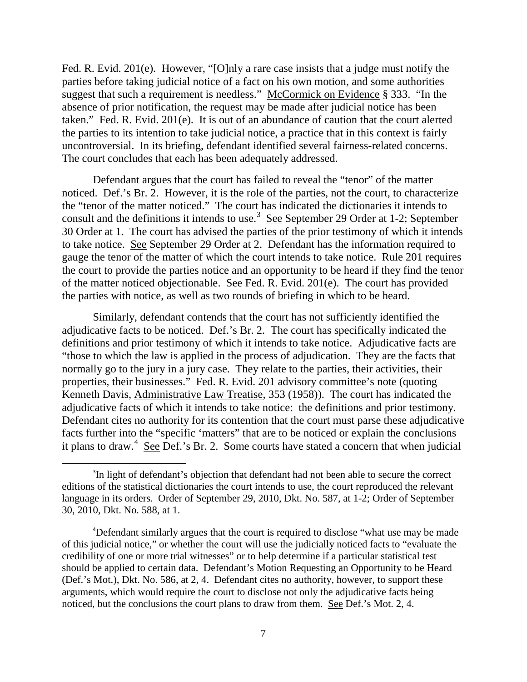Fed. R. Evid. 201(e). However, "[O]nly a rare case insists that a judge must notify the parties before taking judicial notice of a fact on his own motion, and some authorities suggest that such a requirement is needless." McCormick on Evidence § 333. "In the absence of prior notification, the request may be made after judicial notice has been taken." Fed. R. Evid. 201(e). It is out of an abundance of caution that the court alerted the parties to its intention to take judicial notice, a practice that in this context is fairly uncontroversial. In its briefing, defendant identified several fairness-related concerns. The court concludes that each has been adequately addressed.

Defendant argues that the court has failed to reveal the "tenor" of the matter noticed. Def.'s Br. 2. However, it is the role of the parties, not the court, to characterize the "tenor of the matter noticed." The court has indicated the dictionaries it intends to consult and the definitions it intends to use.<sup>[3](#page-6-0)</sup> See September 29 Order at 1-2; September 30 Order at 1. The court has advised the parties of the prior testimony of which it intends to take notice. See September 29 Order at 2. Defendant has the information required to gauge the tenor of the matter of which the court intends to take notice. Rule 201 requires the court to provide the parties notice and an opportunity to be heard if they find the tenor of the matter noticed objectionable. See Fed. R. Evid. 201(e). The court has provided the parties with notice, as well as two rounds of briefing in which to be heard.

Similarly, defendant contends that the court has not sufficiently identified the adjudicative facts to be noticed. Def.'s Br. 2. The court has specifically indicated the definitions and prior testimony of which it intends to take notice. Adjudicative facts are "those to which the law is applied in the process of adjudication. They are the facts that normally go to the jury in a jury case. They relate to the parties, their activities, their properties, their businesses." Fed. R. Evid. 201 advisory committee's note (quoting Kenneth Davis, Administrative Law Treatise, 353 (1958)). The court has indicated the adjudicative facts of which it intends to take notice: the definitions and prior testimony. Defendant cites no authority for its contention that the court must parse these adjudicative facts further into the "specific 'matters" that are to be noticed or explain the conclusions it plans to draw.<sup>[4](#page-6-1)</sup> See Def.'s Br. 2. Some courts have stated a concern that when judicial

<span id="page-6-0"></span> $\overline{\phantom{a}}$ <sup>3</sup>In light of defendant's objection that defendant had not been able to secure the correct editions of the statistical dictionaries the court intends to use, the court reproduced the relevant language in its orders. Order of September 29, 2010, Dkt. No. 587, at 1-2; Order of September 30, 2010, Dkt. No. 588, at 1.

<span id="page-6-1"></span><sup>4</sup> Defendant similarly argues that the court is required to disclose "what use may be made of this judicial notice," or whether the court will use the judicially noticed facts to "evaluate the credibility of one or more trial witnesses" or to help determine if a particular statistical test should be applied to certain data. Defendant's Motion Requesting an Opportunity to be Heard (Def.'s Mot.), Dkt. No. 586, at 2, 4. Defendant cites no authority, however, to support these arguments, which would require the court to disclose not only the adjudicative facts being noticed, but the conclusions the court plans to draw from them. See Def.'s Mot. 2, 4.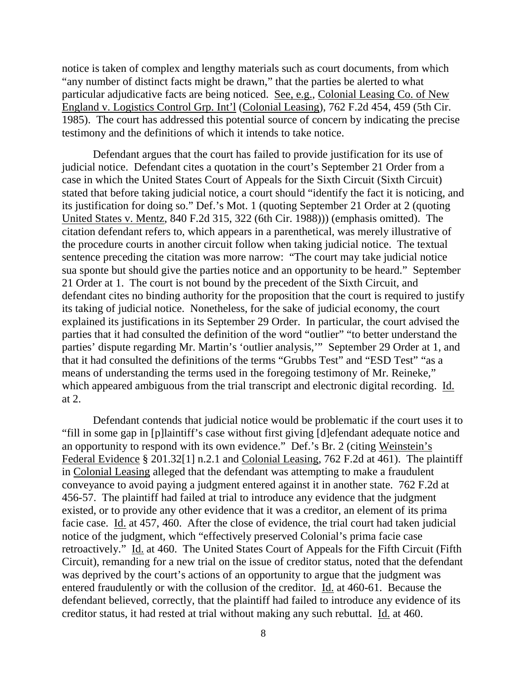notice is taken of complex and lengthy materials such as court documents, from which "any number of distinct facts might be drawn," that the parties be alerted to what particular adjudicative facts are being noticed. See, e.g., Colonial Leasing Co. of New England v. Logistics Control Grp. Int'l (Colonial Leasing), 762 F.2d 454, 459 (5th Cir. 1985). The court has addressed this potential source of concern by indicating the precise testimony and the definitions of which it intends to take notice.

Defendant argues that the court has failed to provide justification for its use of judicial notice. Defendant cites a quotation in the court's September 21 Order from a case in which the United States Court of Appeals for the Sixth Circuit (Sixth Circuit) stated that before taking judicial notice, a court should "identify the fact it is noticing, and its justification for doing so." Def.'s Mot. 1 (quoting September 21 Order at 2 (quoting United States v. Mentz, 840 F.2d 315, 322 (6th Cir. 1988))) (emphasis omitted). The citation defendant refers to, which appears in a parenthetical, was merely illustrative of the procedure courts in another circuit follow when taking judicial notice. The textual sentence preceding the citation was more narrow: "The court may take judicial notice sua sponte but should give the parties notice and an opportunity to be heard." September 21 Order at 1. The court is not bound by the precedent of the Sixth Circuit, and defendant cites no binding authority for the proposition that the court is required to justify its taking of judicial notice. Nonetheless, for the sake of judicial economy, the court explained its justifications in its September 29 Order. In particular, the court advised the parties that it had consulted the definition of the word "outlier" "to better understand the parties' dispute regarding Mr. Martin's 'outlier analysis,'" September 29 Order at 1, and that it had consulted the definitions of the terms "Grubbs Test" and "ESD Test" "as a means of understanding the terms used in the foregoing testimony of Mr. Reineke," which appeared ambiguous from the trial transcript and electronic digital recording. Id. at 2.

Defendant contends that judicial notice would be problematic if the court uses it to "fill in some gap in [p]laintiff's case without first giving [d]efendant adequate notice and an opportunity to respond with its own evidence." Def.'s Br. 2 (citing Weinstein's Federal Evidence § 201.32[1] n.2.1 and Colonial Leasing, 762 F.2d at 461). The plaintiff in Colonial Leasing alleged that the defendant was attempting to make a fraudulent conveyance to avoid paying a judgment entered against it in another state. 762 F.2d at 456-57. The plaintiff had failed at trial to introduce any evidence that the judgment existed, or to provide any other evidence that it was a creditor, an element of its prima facie case. Id. at 457, 460. After the close of evidence, the trial court had taken judicial notice of the judgment, which "effectively preserved Colonial's prima facie case retroactively." Id. at 460. The United States Court of Appeals for the Fifth Circuit (Fifth Circuit), remanding for a new trial on the issue of creditor status, noted that the defendant was deprived by the court's actions of an opportunity to argue that the judgment was entered fraudulently or with the collusion of the creditor. Id. at 460-61. Because the defendant believed, correctly, that the plaintiff had failed to introduce any evidence of its creditor status, it had rested at trial without making any such rebuttal. Id. at 460.